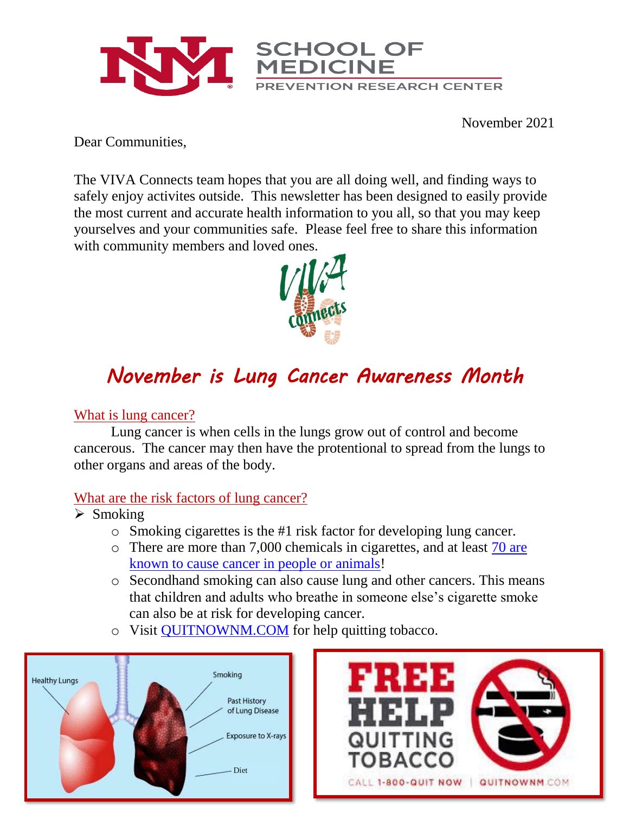

November 2021

Dear Communities,

The VIVA Connects team hopes that you are all doing well, and finding ways to safely enjoy activites outside. This newsletter has been designed to easily provide the most current and accurate health information to you all, so that you may keep yourselves and your communities safe. Please feel free to share this information with community members and loved ones.



## *November is Lung Cancer Awareness Month*

## What is lung cancer?

Lung cancer is when cells in the lungs grow out of control and become cancerous. The cancer may then have the protentional to spread from the lungs to other organs and areas of the body.

## What are the risk factors of lung cancer?

- ➢ Smoking
	- o Smoking cigarettes is the #1 risk factor for developing lung cancer.
	- o There are more than 7,000 chemicals in cigarettes, and at least [70 are](https://www.cdc.gov/cancer/lung/basic_info/risk_factors.htm)  [known to cause cancer in people or animals!](https://www.cdc.gov/cancer/lung/basic_info/risk_factors.htm)
	- o Secondhand smoking can also cause lung and other cancers. This means that children and adults who breathe in someone else's cigarette smoke can also be at risk for developing cancer.
	- o Visit [QUITNOWNM.COM](https://www.quitnownm.com/) for help quitting tobacco.



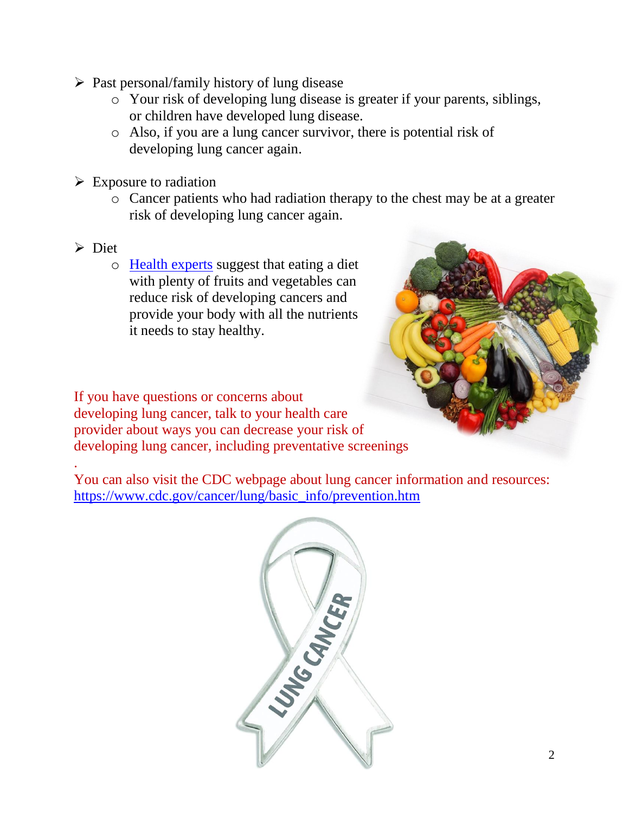- $\triangleright$  Past personal/family history of lung disease
	- o Your risk of developing lung disease is greater if your parents, siblings, or children have developed lung disease.
	- o Also, if you are a lung cancer survivor, there is potential risk of developing lung cancer again.
- $\triangleright$  Exposure to radiation
	- o Cancer patients who had radiation therapy to the chest may be at a greater risk of developing lung cancer again.
- ➢ Diet

.

o [Health experts](https://www.lung.org/lung-health-diseases/lung-disease-lookup/lung-cancer/treatment/stay-healthy/prevention) suggest that eating a diet with plenty of fruits and vegetables can reduce risk of developing cancers and provide your body with all the nutrients it needs to stay healthy.

If you have questions or concerns about developing lung cancer, talk to your health care provider about ways you can decrease your risk of developing lung cancer, including preventative screenings

You can also visit the CDC webpage about lung cancer information and resources: [https://www.cdc.gov/cancer/lung/basic\\_info/prevention.htm](https://www.cdc.gov/cancer/lung/basic_info/prevention.htm)

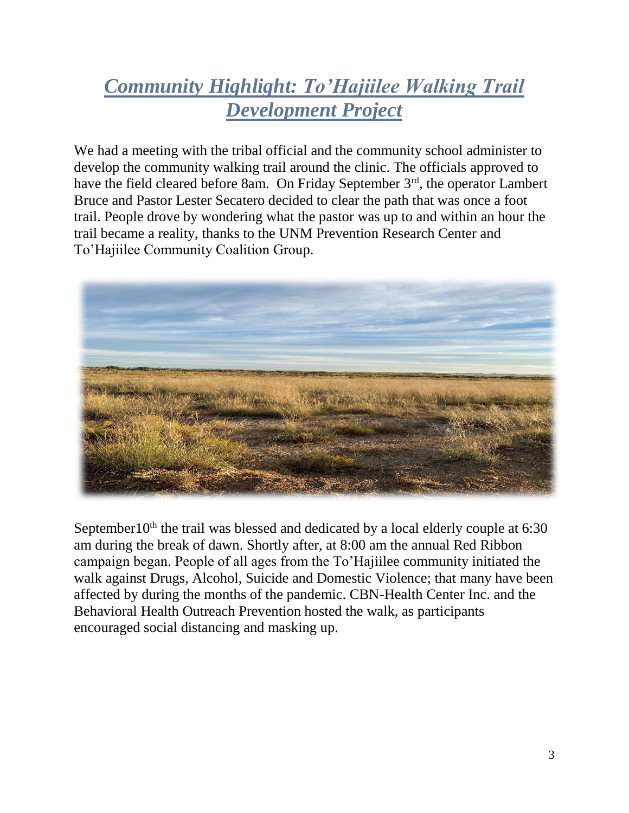## *Community Highlight: To'Hajiilee Walking Trail Development Project*

We had a meeting with the tribal official and the community school administer to develop the community walking trail around the clinic. The officials approved to have the field cleared before 8am. On Friday September 3<sup>rd</sup>, the operator Lambert Bruce and Pastor Lester Secatero decided to clear the path that was once a foot trail. People drove by wondering what the pastor was up to and within an hour the trail became a reality, thanks to the UNM Prevention Research Center and To'Hajiilee Community Coalition Group.



September10<sup>th</sup> the trail was blessed and dedicated by a local elderly couple at  $6:30$ am during the break of dawn. Shortly after, at 8:00 am the annual Red Ribbon campaign began. People of all ages from the To'Hajiilee community initiated the walk against Drugs, Alcohol, Suicide and Domestic Violence; that many have been affected by during the months of the pandemic. CBN-Health Center Inc. and the Behavioral Health Outreach Prevention hosted the walk, as participants encouraged social distancing and masking up.